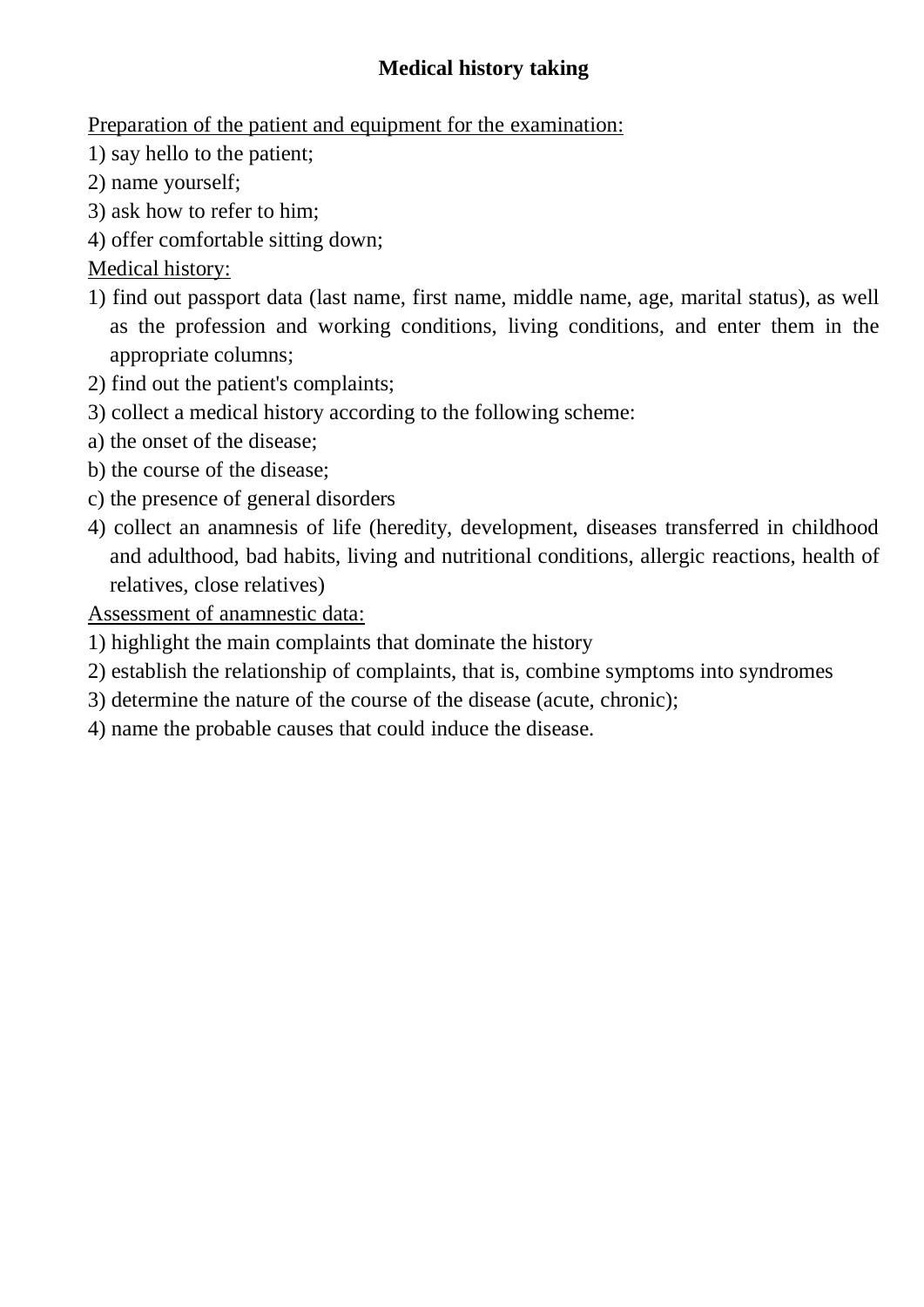# **Medical history taking**

Preparation of the patient and equipment for the examination:

- 1) say hello to the patient;
- 2) name yourself;
- 3) ask how to refer to him;
- 4) offer comfortable sitting down;

Medical history:

- 1) find out passport data (last name, first name, middle name, age, marital status), as well as the profession and working conditions, living conditions, and enter them in the appropriate columns;
- 2) find out the patient's complaints;
- 3) collect a medical history according to the following scheme:
- a) the onset of the disease;
- b) the course of the disease;
- c) the presence of general disorders
- 4) collect an anamnesis of life (heredity, development, diseases transferred in childhood and adulthood, bad habits, living and nutritional conditions, allergic reactions, health of relatives, close relatives)

Assessment of anamnestic data:

- 1) highlight the main complaints that dominate the history
- 2) establish the relationship of complaints, that is, combine symptoms into syndromes
- 3) determine the nature of the course of the disease (acute, chronic);
- 4) name the probable causes that could induce the disease.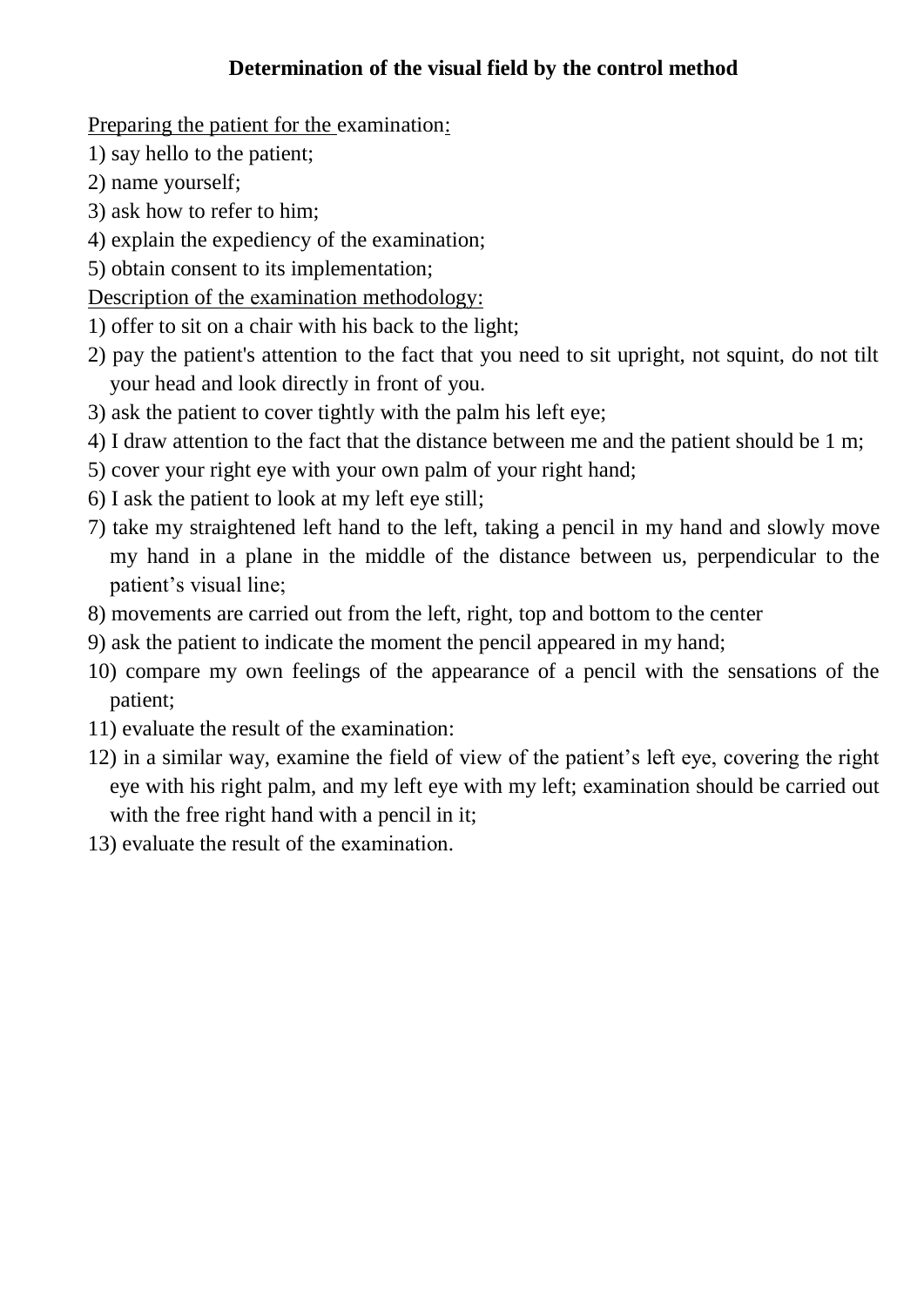## **Determination of the visual field by the control method**

Preparing the patient for the examination:

- 1) say hello to the patient;
- 2) name yourself;
- 3) ask how to refer to him;
- 4) explain the expediency of the examination;
- 5) obtain consent to its implementation;

Description of the еxamination methodology:

- 1) offer to sit on a chair with his back to the light;
- 2) pay the patient's attention to the fact that you need to sit upright, not squint, do not tilt your head and look directly in front of you.
- 3) ask the patient to cover tightly with the palm his left eye;
- 4) I draw attention to the fact that the distance between me and the patient should be 1 m;
- 5) cover your right eye with your own palm of your right hand;
- 6) I ask the patient to look at my left eye still;
- 7) take my straightened left hand to the left, taking a pencil in my hand and slowly move my hand in a plane in the middle of the distance between us, perpendicular to the patient's visual line;
- 8) movements are carried out from the left, right, top and bottom to the center
- 9) ask the patient to indicate the moment the pencil appeared in my hand;
- 10) compare my own feelings of the appearance of a pencil with the sensations of the patient;
- 11) evaluate the result of the еxamination:
- 12) in a similar way, examine the field of view of the patient's left eye, covering the right eye with his right palm, and my left eye with my left; еxamination should be carried out with the free right hand with a pencil in it;
- 13) evaluate the result of the еxamination.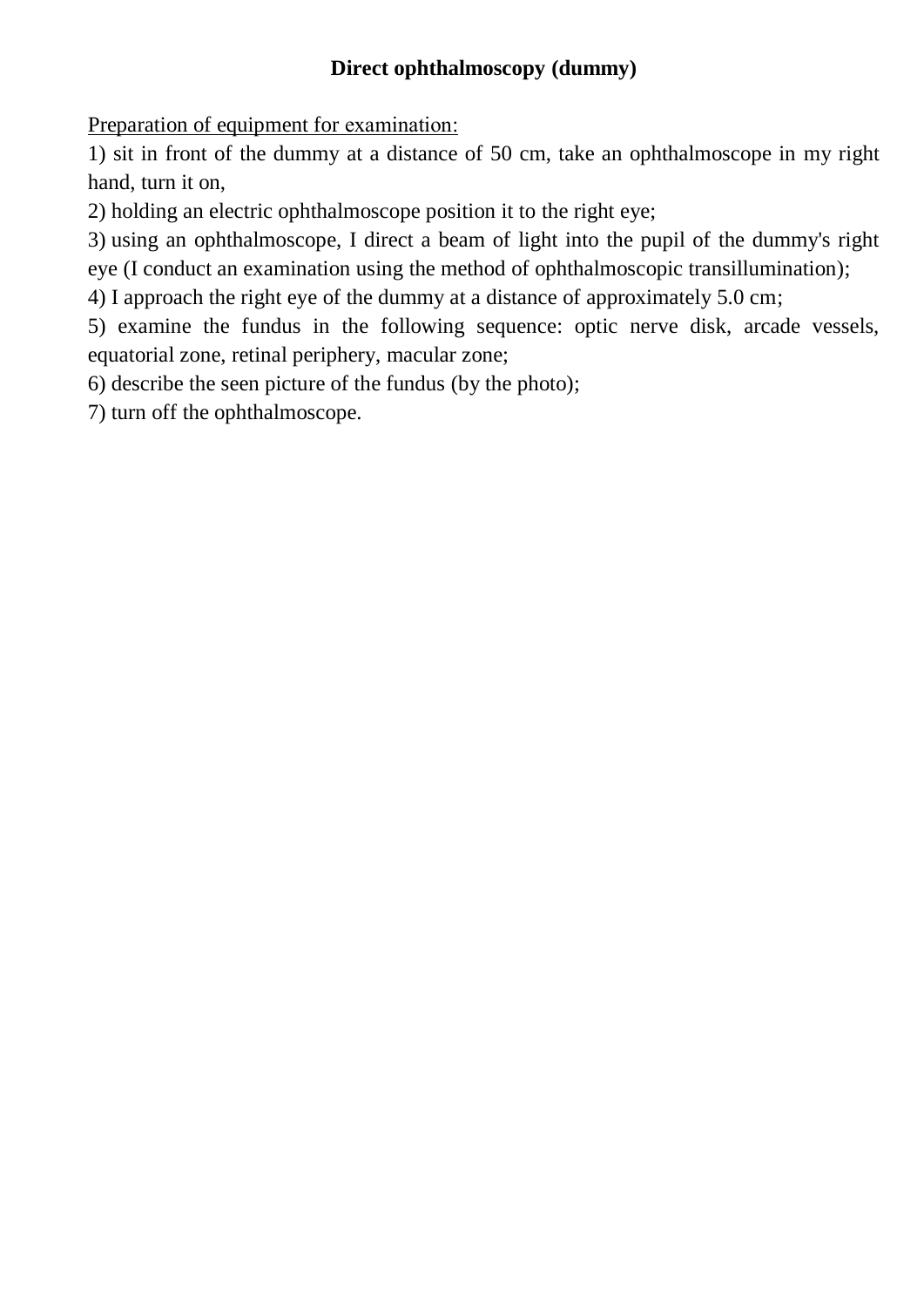## **Direct ophthalmoscopy (dummy)**

Preparation of equipment for еxamination:

1) sit in front of the dummy at a distance of 50 cm, take an ophthalmoscope in my right hand, turn it on,

2) holding an electric ophthalmoscope position it to the right eye;

3) using an ophthalmoscope, I direct a beam of light into the pupil of the dummy's right

eye (I conduct an examination using the method of ophthalmoscopic transillumination);

4) I approach the right eye of the dummy at a distance of approximately 5.0 cm;

5) examine the fundus in the following sequence: optic nerve disk, arcade vessels, equatorial zone, retinal periphery, macular zone;

6) describe the seen picture of the fundus (by the photo);

7) turn off the ophthalmoscope.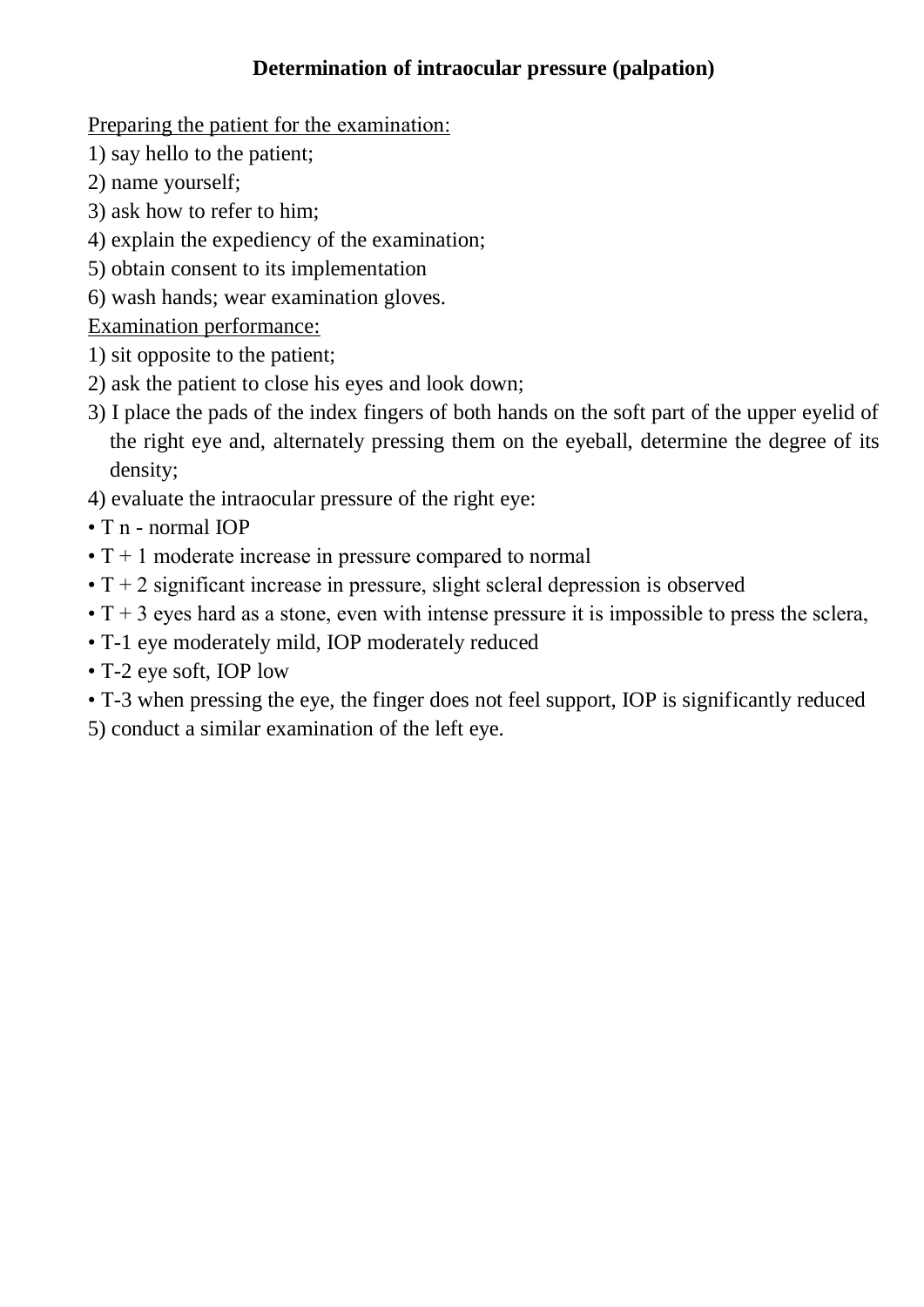## **Determination of intraocular pressure (palpation)**

Preparing the patient for the еxamination:

- 1) say hello to the patient;
- 2) name yourself;
- 3) ask how to refer to him;
- 4) explain the expediency of the examination;
- 5) obtain consent to its implementation
- 6) wash hands; wear examination gloves.

Examination performance:

- 1) sit opposite to the patient;
- 2) ask the patient to close his eyes and look down;
- 3) I place the pads of the index fingers of both hands on the soft part of the upper eyelid of the right eye and, alternately pressing them on the eyeball, determine the degree of its density;
- 4) evaluate the intraocular pressure of the right eye:
- T n normal IOP
- $\cdot$  T + 1 moderate increase in pressure compared to normal
- $\cdot$  T + 2 significant increase in pressure, slight scleral depression is observed
- $\cdot$  T + 3 eyes hard as a stone, even with intense pressure it is impossible to press the sclera,
- T-1 eye moderately mild, IOP moderately reduced
- T-2 eye soft, IOP low
- T-3 when pressing the eye, the finger does not feel support, IOP is significantly reduced
- 5) conduct a similar examination of the left eye.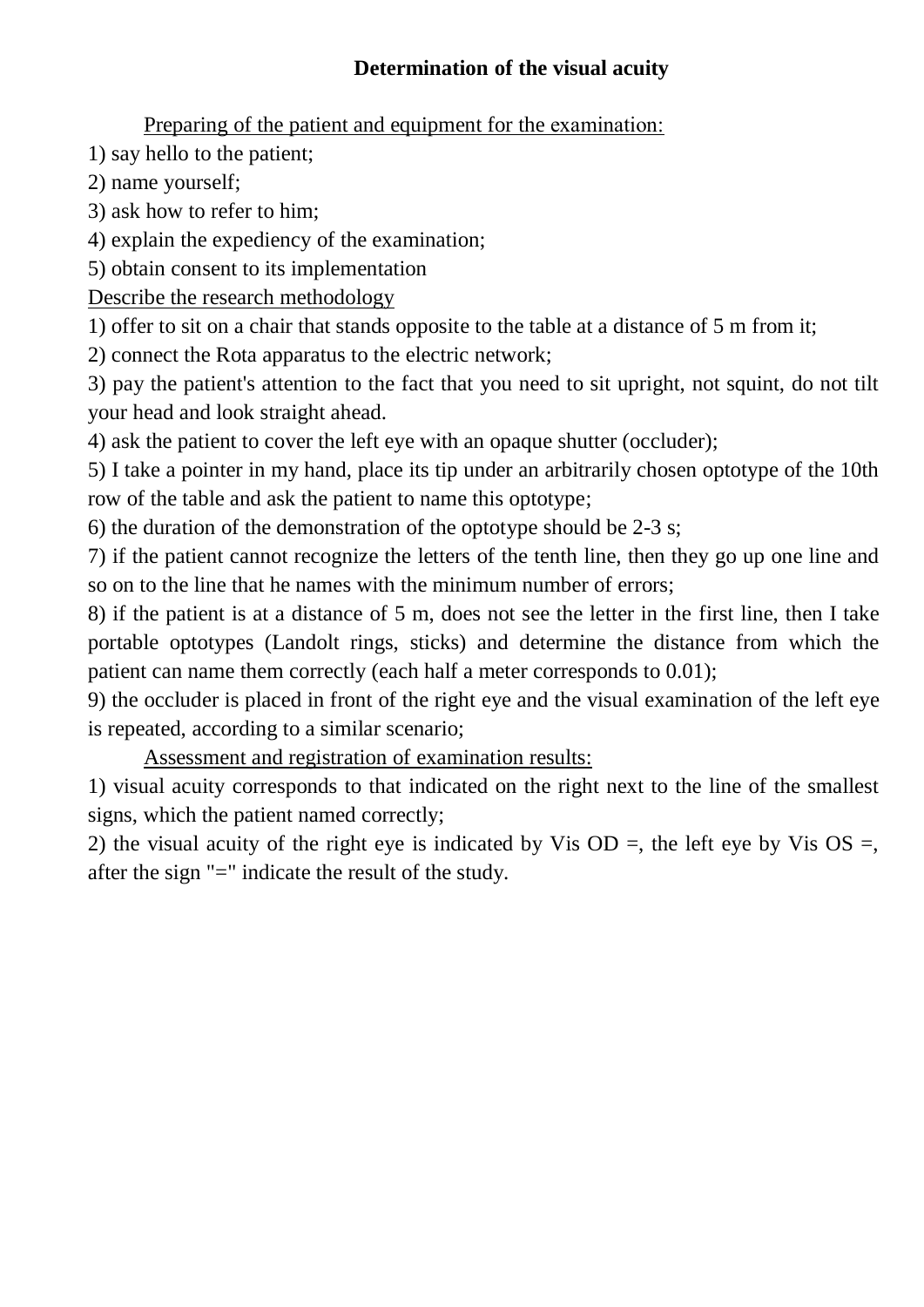## **Determination of the visual acuity**

Preparing of the patient and equipment for the еxamination:

1) say hello to the patient;

2) name yourself;

3) ask how to refer to him;

4) explain the expediency of the examination;

5) obtain consent to its implementation

Describe the research methodology

1) offer to sit on a chair that stands opposite to the table at a distance of 5 m from it;

2) connect the Rota apparatus to the electric network;

3) pay the patient's attention to the fact that you need to sit upright, not squint, do not tilt your head and look straight ahead.

4) ask the patient to cover the left eye with an opaque shutter (occluder);

5) I take a pointer in my hand, place its tip under an arbitrarily chosen optotype of the 10th row of the table and ask the patient to name this optotype;

6) the duration of the demonstration of the optotype should be 2-3 s;

7) if the patient cannot recognize the letters of the tenth line, then they go up one line and so on to the line that he names with the minimum number of errors;

8) if the patient is at a distance of 5 m, does not see the letter in the first line, then I take portable optotypes (Landolt rings, sticks) and determine the distance from which the patient can name them correctly (each half a meter corresponds to 0.01);

9) the occluder is placed in front of the right eye and the visual examination of the left eye is repeated, according to a similar scenario;

Assessment and registration of examination results:

1) visual acuity corresponds to that indicated on the right next to the line of the smallest signs, which the patient named correctly;

2) the visual acuity of the right eye is indicated by Vis OD =, the left eye by Vis OS =, after the sign "=" indicate the result of the study.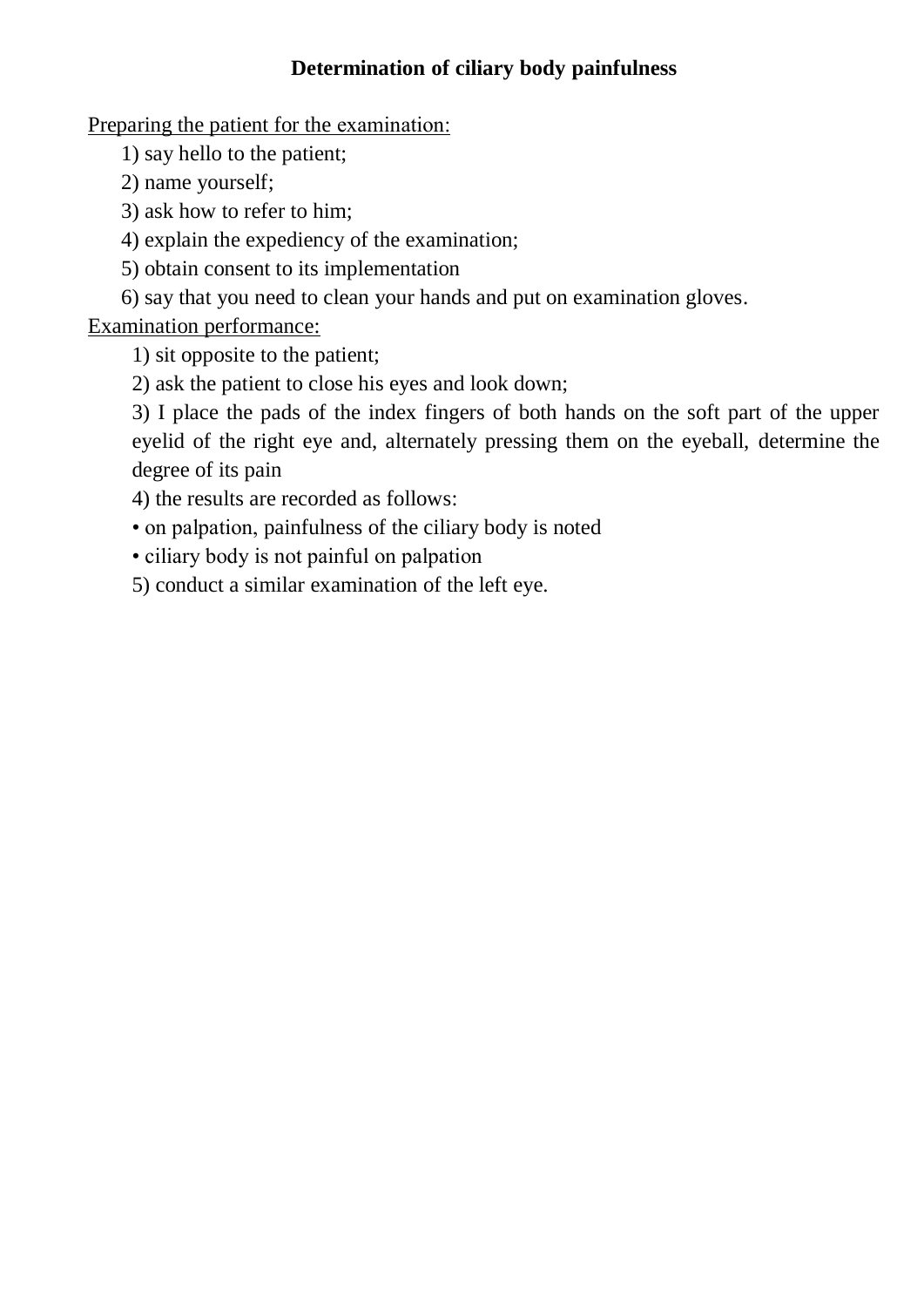## **Determination of ciliary body painfulness**

Preparing the patient for the еxamination:

1) say hello to the patient;

2) name yourself;

3) ask how to refer to him;

4) explain the expediency of the examination;

5) obtain consent to its implementation

6) say that you need to clean your hands and put on examination gloves.

Examination performance:

1) sit opposite to the patient;

2) ask the patient to close his eyes and look down;

3) I place the pads of the index fingers of both hands on the soft part of the upper eyelid of the right eye and, alternately pressing them on the eyeball, determine the degree of its pain

4) the results are recorded as follows:

• on palpation, painfulness of the ciliary body is noted

• ciliary body is not painful on palpation

5) conduct a similar examination of the left eye.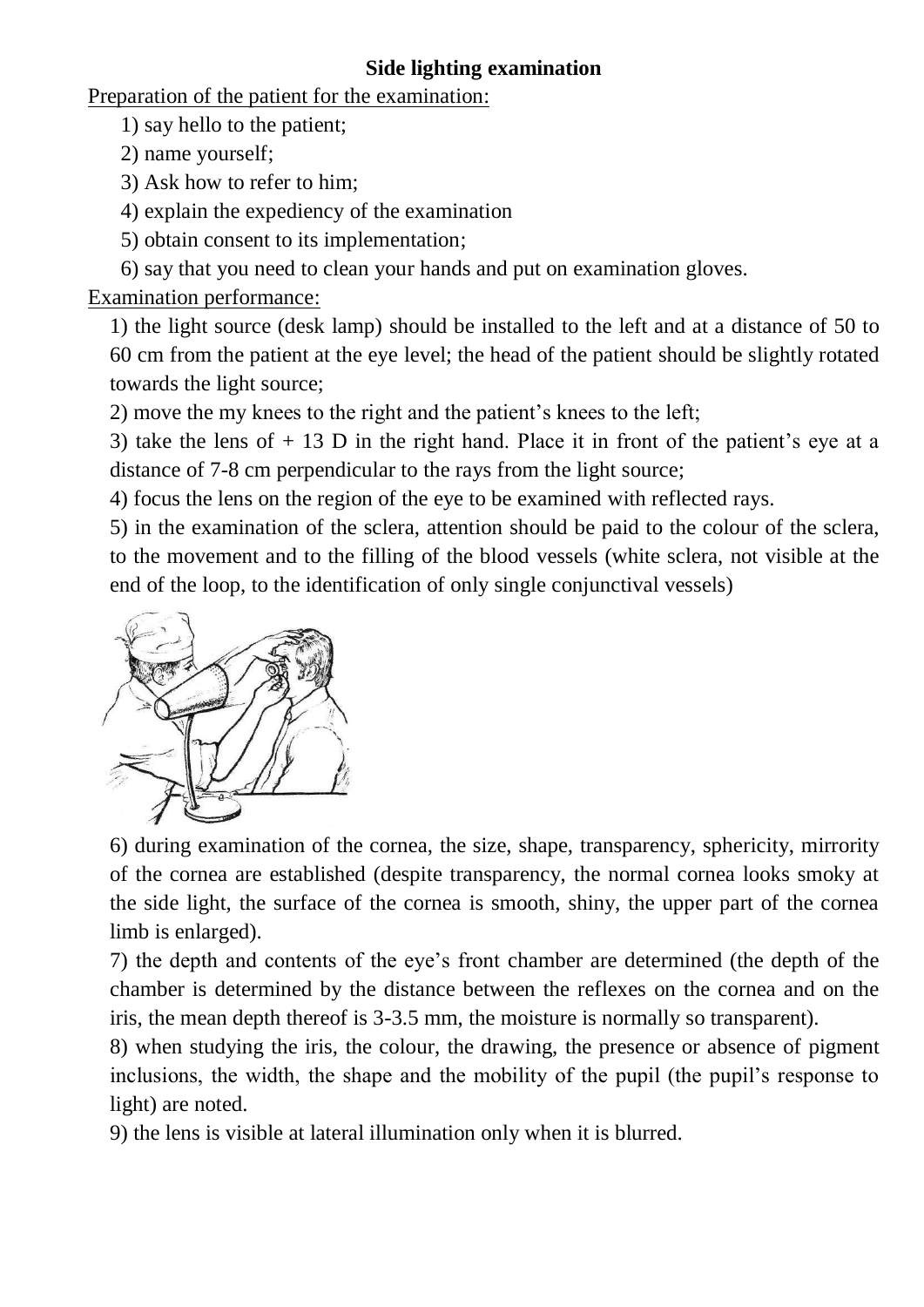#### **Side lighting examination**

Preparation of the patient for the examination:

1) say hello to the patient;

2) name yourself;

3) Ask how to refer to him;

4) explain the expediency of the examination

5) obtain consent to its implementation;

6) say that you need to clean your hands and put on examination gloves.

## Examination performance:

1) the light source (desk lamp) should be installed to the left and at a distance of 50 to 60 cm from the patient at the eye level; the head of the patient should be slightly rotated towards the light source;

2) move the my knees to the right and the patient's knees to the left;

3) take the lens of  $+ 13$  D in the right hand. Place it in front of the patient's eye at a distance of 7-8 cm perpendicular to the rays from the light source;

4) focus the lens on the region of the eye to be examined with reflected rays.

5) in the examination of the sclera, attention should be paid to the colour of the sclera, to the movement and to the filling of the blood vessels (white sclera, not visible at the end of the loop, to the identification of only single conjunctival vessels)



6) during examination of the cornea, the size, shape, transparency, sphericity, mirrority of the cornea are established (despite transparency, the normal cornea looks smoky at the side light, the surface of the cornea is smooth, shiny, the upper part of the cornea limb is enlarged).

7) the depth and contents of the eye's front chamber are determined (the depth of the chamber is determined by the distance between the reflexes on the cornea and on the iris, the mean depth thereof is 3-3.5 mm, the moisture is normally so transparent).

8) when studying the iris, the colour, the drawing, the presence or absence of pigment inclusions, the width, the shape and the mobility of the pupil (the pupil's response to light) are noted.

9) the lens is visible at lateral illumination only when it is blurred.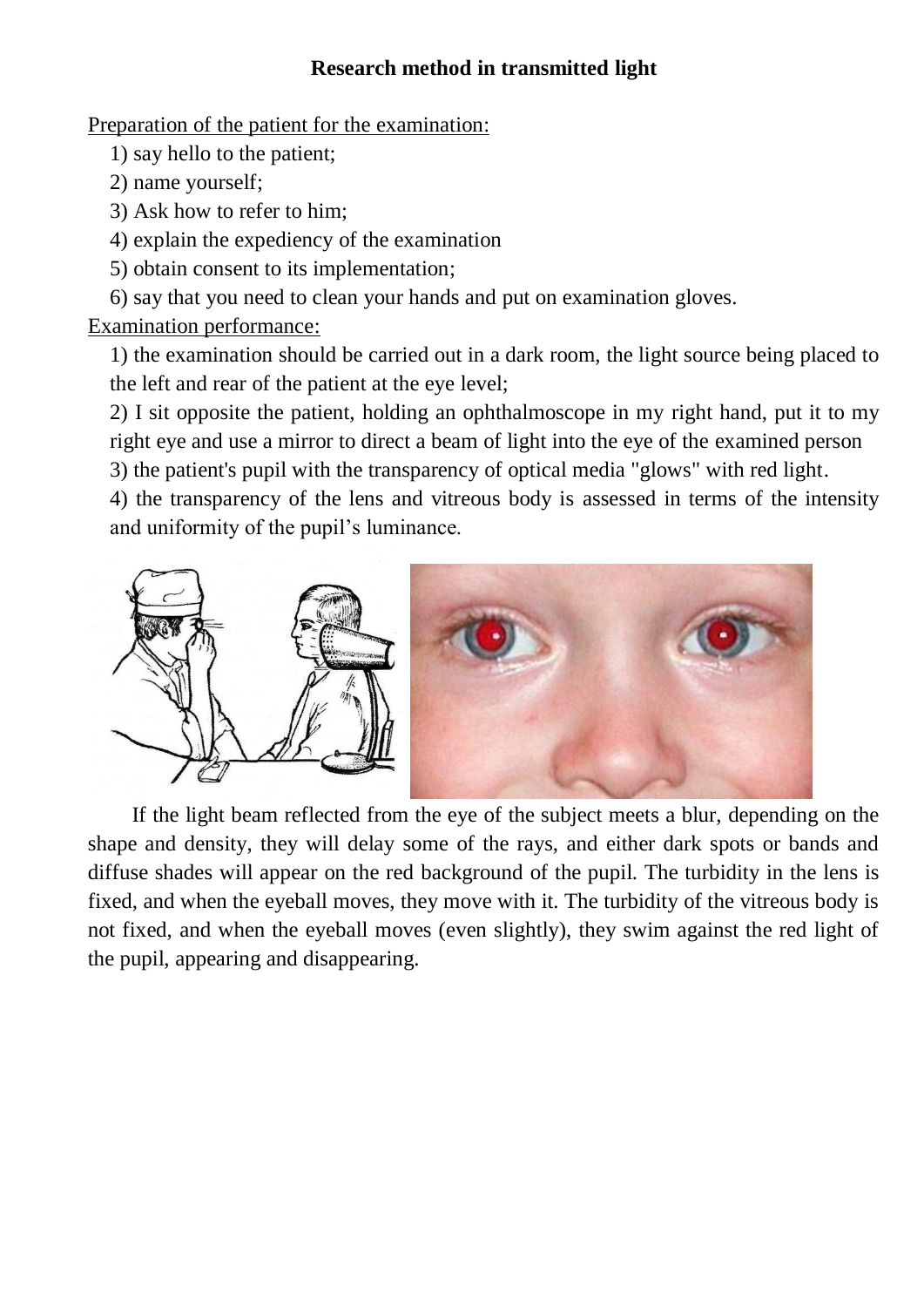## **Research method in transmitted light**

Preparation of the patient for the examination:

1) say hello to the patient;

2) name yourself;

3) Ask how to refer to him;

4) explain the expediency of the examination

5) obtain consent to its implementation;

6) say that you need to clean your hands and put on examination gloves.

Examination performance:

1) the examination should be carried out in a dark room, the light source being placed to the left and rear of the patient at the eye level;

2) I sit opposite the patient, holding an ophthalmoscope in my right hand, put it to my right eye and use a mirror to direct a beam of light into the eye of the examined person 3) the patient's pupil with the transparency of optical media "glows" with red light.

4) the transparency of the lens and vitreous body is assessed in terms of the intensity and uniformity of the pupil's luminance.



If the light beam reflected from the eye of the subject meets a blur, depending on the shape and density, they will delay some of the rays, and either dark spots or bands and diffuse shades will appear on the red background of the pupil. The turbidity in the lens is fixed, and when the eyeball moves, they move with it. The turbidity of the vitreous body is not fixed, and when the eyeball moves (even slightly), they swim against the red light of the pupil, appearing and disappearing.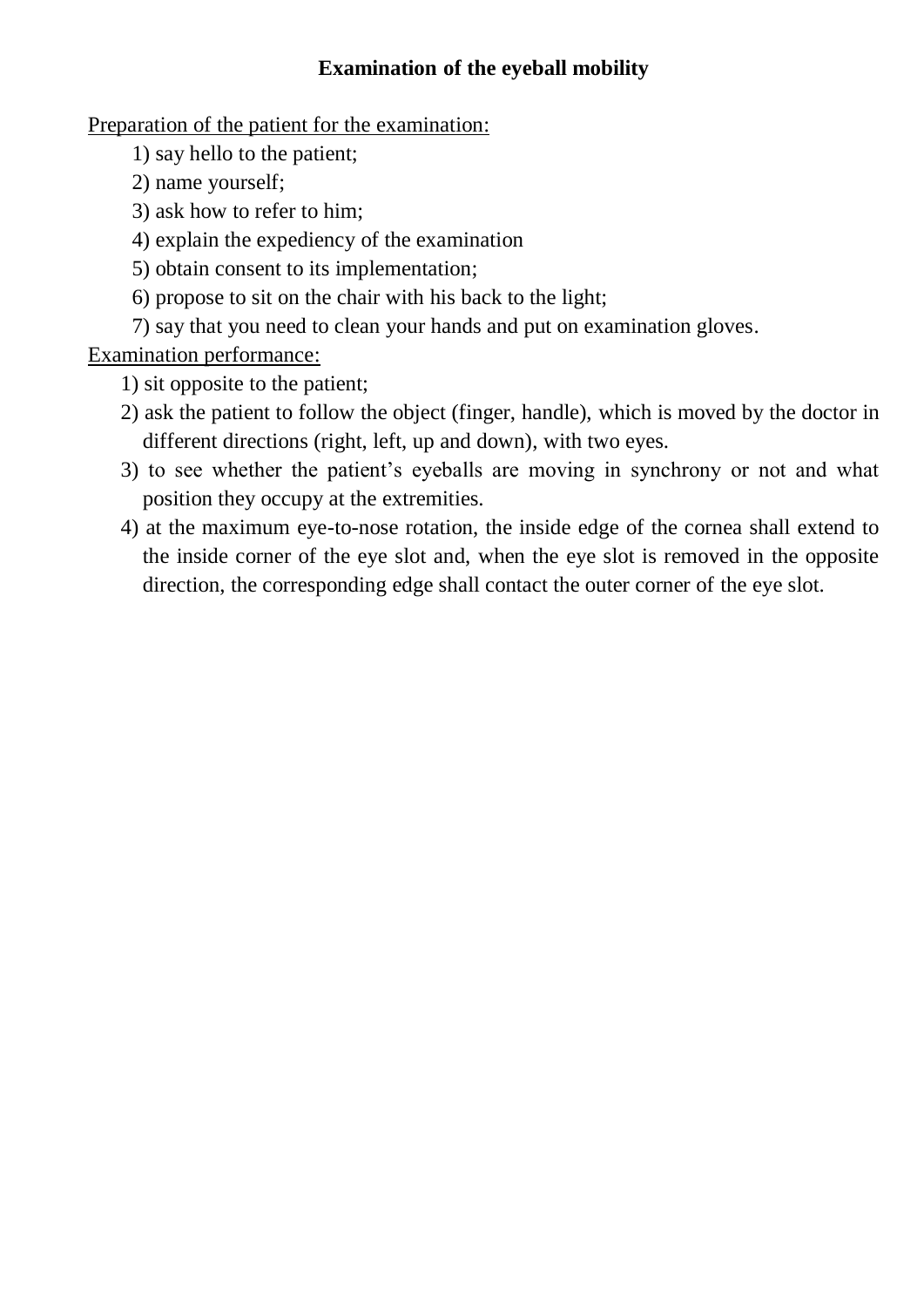## **Examination of the eyeball mobility**

Preparation of the patient for the examination:

- 1) say hello to the patient;
- 2) name yourself;
- 3) ask how to refer to him;
- 4) explain the expediency of the examination
- 5) obtain consent to its implementation;
- 6) propose to sit on the chair with his back to the light;
- 7) say that you need to clean your hands and put on examination gloves.

Examination performance:

- 1) sit opposite to the patient;
- 2) ask the patient to follow the object (finger, handle), which is moved by the doctor in different directions (right, left, up and down), with two eyes.
- 3) to see whether the patient's eyeballs are moving in synchrony or not and what position they occupy at the extremities.
- 4) at the maximum eye-to-nose rotation, the inside edge of the cornea shall extend to the inside corner of the eye slot and, when the eye slot is removed in the opposite direction, the corresponding edge shall contact the outer corner of the eye slot.